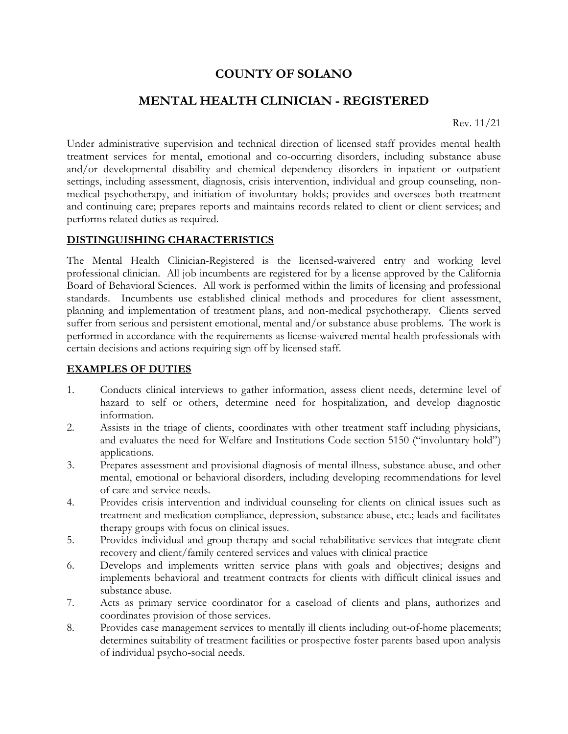# **COUNTY OF SOLANO**

# **MENTAL HEALTH CLINICIAN - REGISTERED**

Rev. 11/21

Under administrative supervision and technical direction of licensed staff provides mental health treatment services for mental, emotional and co-occurring disorders, including substance abuse and/or developmental disability and chemical dependency disorders in inpatient or outpatient settings, including assessment, diagnosis, crisis intervention, individual and group counseling, nonmedical psychotherapy, and initiation of involuntary holds; provides and oversees both treatment and continuing care; prepares reports and maintains records related to client or client services; and performs related duties as required.

#### **DISTINGUISHING CHARACTERISTICS**

The Mental Health Clinician-Registered is the licensed-waivered entry and working level professional clinician. All job incumbents are registered for by a license approved by the California Board of Behavioral Sciences. All work is performed within the limits of licensing and professional standards. Incumbents use established clinical methods and procedures for client assessment, planning and implementation of treatment plans, and non-medical psychotherapy. Clients served suffer from serious and persistent emotional, mental and/or substance abuse problems. The work is performed in accordance with the requirements as license-waivered mental health professionals with certain decisions and actions requiring sign off by licensed staff.

#### **EXAMPLES OF DUTIES**

- 1. Conducts clinical interviews to gather information, assess client needs, determine level of hazard to self or others, determine need for hospitalization, and develop diagnostic information.
- 2. Assists in the triage of clients, coordinates with other treatment staff including physicians, and evaluates the need for Welfare and Institutions Code section 5150 ("involuntary hold") applications.
- 3. Prepares assessment and provisional diagnosis of mental illness, substance abuse, and other mental, emotional or behavioral disorders, including developing recommendations for level of care and service needs.
- 4. Provides crisis intervention and individual counseling for clients on clinical issues such as treatment and medication compliance, depression, substance abuse, etc.; leads and facilitates therapy groups with focus on clinical issues.
- 5. Provides individual and group therapy and social rehabilitative services that integrate client recovery and client/family centered services and values with clinical practice
- 6. Develops and implements written service plans with goals and objectives; designs and implements behavioral and treatment contracts for clients with difficult clinical issues and substance abuse.
- 7. Acts as primary service coordinator for a caseload of clients and plans, authorizes and coordinates provision of those services.
- 8. Provides case management services to mentally ill clients including out-of-home placements; determines suitability of treatment facilities or prospective foster parents based upon analysis of individual psycho-social needs.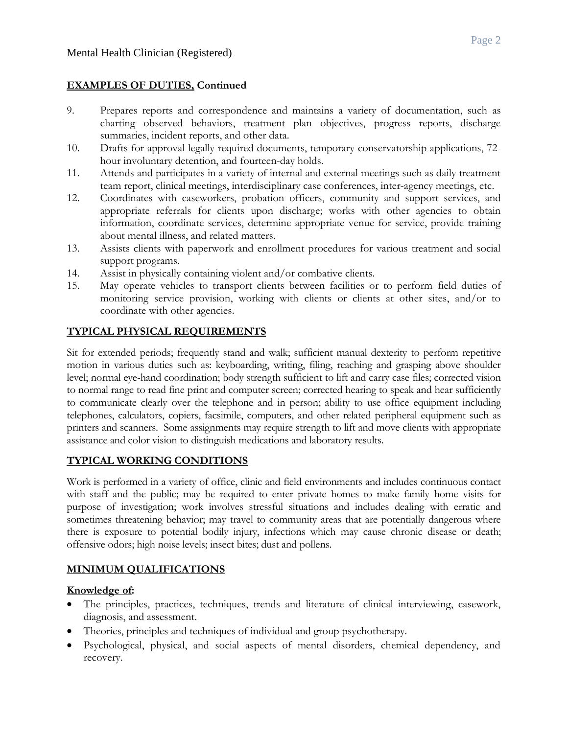#### **EXAMPLES OF DUTIES, Continued**

- 9. Prepares reports and correspondence and maintains a variety of documentation, such as charting observed behaviors, treatment plan objectives, progress reports, discharge summaries, incident reports, and other data.
- 10. Drafts for approval legally required documents, temporary conservatorship applications, 72 hour involuntary detention, and fourteen-day holds.
- 11. Attends and participates in a variety of internal and external meetings such as daily treatment team report, clinical meetings, interdisciplinary case conferences, inter-agency meetings, etc.
- 12. Coordinates with caseworkers, probation officers, community and support services, and appropriate referrals for clients upon discharge; works with other agencies to obtain information, coordinate services, determine appropriate venue for service, provide training about mental illness, and related matters.
- 13. Assists clients with paperwork and enrollment procedures for various treatment and social support programs.
- 14. Assist in physically containing violent and/or combative clients.
- 15. May operate vehicles to transport clients between facilities or to perform field duties of monitoring service provision, working with clients or clients at other sites, and/or to coordinate with other agencies.

## **TYPICAL PHYSICAL REQUIREMENTS**

Sit for extended periods; frequently stand and walk; sufficient manual dexterity to perform repetitive motion in various duties such as: keyboarding, writing, filing, reaching and grasping above shoulder level; normal eye-hand coordination; body strength sufficient to lift and carry case files; corrected vision to normal range to read fine print and computer screen; corrected hearing to speak and hear sufficiently to communicate clearly over the telephone and in person; ability to use office equipment including telephones, calculators, copiers, facsimile, computers, and other related peripheral equipment such as printers and scanners. Some assignments may require strength to lift and move clients with appropriate assistance and color vision to distinguish medications and laboratory results.

## **TYPICAL WORKING CONDITIONS**

Work is performed in a variety of office, clinic and field environments and includes continuous contact with staff and the public; may be required to enter private homes to make family home visits for purpose of investigation; work involves stressful situations and includes dealing with erratic and sometimes threatening behavior; may travel to community areas that are potentially dangerous where there is exposure to potential bodily injury, infections which may cause chronic disease or death; offensive odors; high noise levels; insect bites; dust and pollens.

## **MINIMUM QUALIFICATIONS**

#### **Knowledge of:**

- The principles, practices, techniques, trends and literature of clinical interviewing, casework, diagnosis, and assessment.
- Theories, principles and techniques of individual and group psychotherapy.
- Psychological, physical, and social aspects of mental disorders, chemical dependency, and recovery.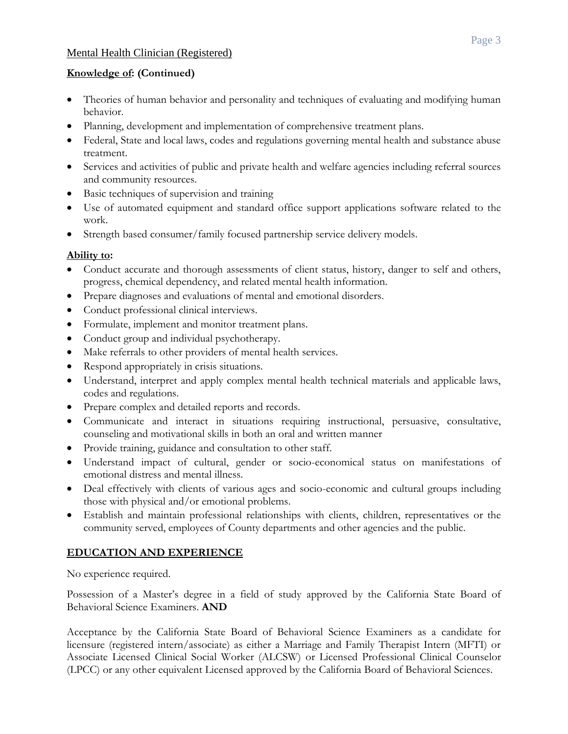#### Mental Health Clinician (Registered)

#### **Knowledge of: (Continued)**

- Theories of human behavior and personality and techniques of evaluating and modifying human behavior.
- Planning, development and implementation of comprehensive treatment plans.
- Federal, State and local laws, codes and regulations governing mental health and substance abuse treatment.
- Services and activities of public and private health and welfare agencies including referral sources and community resources.
- Basic techniques of supervision and training
- Use of automated equipment and standard office support applications software related to the work.
- Strength based consumer/family focused partnership service delivery models.

## **Ability to:**

- Conduct accurate and thorough assessments of client status, history, danger to self and others, progress, chemical dependency, and related mental health information.
- Prepare diagnoses and evaluations of mental and emotional disorders.
- Conduct professional clinical interviews.
- Formulate, implement and monitor treatment plans.
- Conduct group and individual psychotherapy.
- Make referrals to other providers of mental health services.
- Respond appropriately in crisis situations.
- Understand, interpret and apply complex mental health technical materials and applicable laws, codes and regulations.
- Prepare complex and detailed reports and records.
- Communicate and interact in situations requiring instructional, persuasive, consultative, counseling and motivational skills in both an oral and written manner
- Provide training, guidance and consultation to other staff.
- Understand impact of cultural, gender or socio-economical status on manifestations of emotional distress and mental illness.
- Deal effectively with clients of various ages and socio-economic and cultural groups including those with physical and/or emotional problems.
- Establish and maintain professional relationships with clients, children, representatives or the community served, employees of County departments and other agencies and the public.

## **EDUCATION AND EXPERIENCE**

No experience required.

Possession of a Master's degree in a field of study approved by the California State Board of Behavioral Science Examiners. **AND**

Acceptance by the California State Board of Behavioral Science Examiners as a candidate for licensure (registered intern/associate) as either a Marriage and Family Therapist Intern (MFTI) or Associate Licensed Clinical Social Worker (ALCSW) or Licensed Professional Clinical Counselor (LPCC) or any other equivalent Licensed approved by the California Board of Behavioral Sciences.